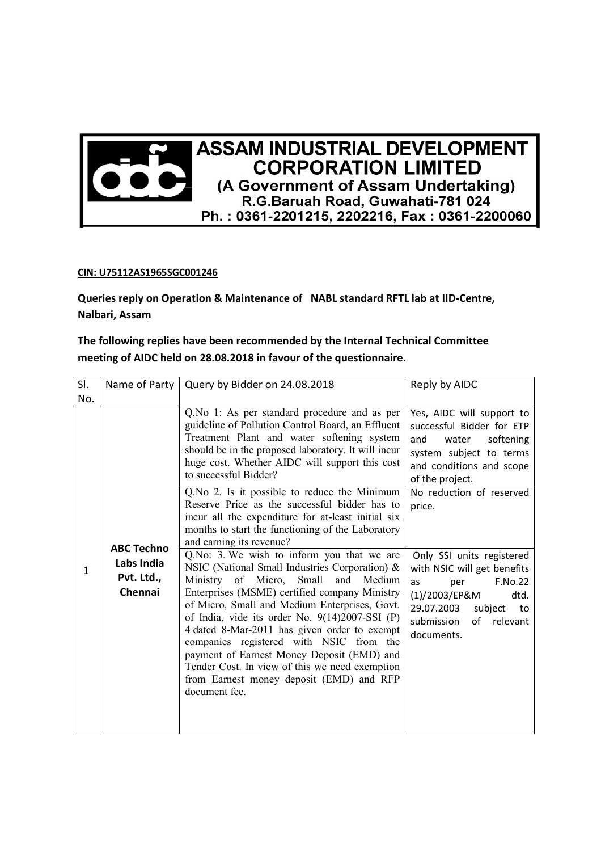

## **CIN: U75112AS1965SGC001246**

**Queries reply on Operation & Maintenance of NABL standard RFTL lab at IID-Centre, Nalbari, Assam** 

**The following replies have been recommended by the Internal Technical Committee meeting of AIDC held on 28.08.2018 in favour of the questionnaire.** 

| SI. | Name of Party                                            | Query by Bidder on 24.08.2018                                                                                                                                                                                                                                                                                                                                                                                                                                                                                                                            | Reply by AIDC                                                                                                                                                                             |
|-----|----------------------------------------------------------|----------------------------------------------------------------------------------------------------------------------------------------------------------------------------------------------------------------------------------------------------------------------------------------------------------------------------------------------------------------------------------------------------------------------------------------------------------------------------------------------------------------------------------------------------------|-------------------------------------------------------------------------------------------------------------------------------------------------------------------------------------------|
| No. |                                                          |                                                                                                                                                                                                                                                                                                                                                                                                                                                                                                                                                          |                                                                                                                                                                                           |
| 1   | <b>ABC Techno</b><br>Labs India<br>Pvt. Ltd.,<br>Chennai | Q.No 1: As per standard procedure and as per<br>guideline of Pollution Control Board, an Effluent<br>Treatment Plant and water softening system<br>should be in the proposed laboratory. It will incur<br>huge cost. Whether AIDC will support this cost<br>to successful Bidder?<br>Q.No 2. Is it possible to reduce the Minimum                                                                                                                                                                                                                        | Yes, AIDC will support to<br>successful Bidder for ETP<br>and<br>water<br>softening<br>system subject to terms<br>and conditions and scope<br>of the project.<br>No reduction of reserved |
|     |                                                          | Reserve Price as the successful bidder has to<br>incur all the expenditure for at-least initial six<br>months to start the functioning of the Laboratory<br>and earning its revenue?                                                                                                                                                                                                                                                                                                                                                                     | price.                                                                                                                                                                                    |
|     |                                                          | Q.No: 3. We wish to inform you that we are<br>NSIC (National Small Industries Corporation) &<br>Ministry of Micro,<br>Small<br>and<br>Medium<br>Enterprises (MSME) certified company Ministry<br>of Micro, Small and Medium Enterprises, Govt.<br>of India, vide its order No. 9(14)2007-SSI (P)<br>4 dated 8-Mar-2011 has given order to exempt<br>companies registered with NSIC from the<br>payment of Earnest Money Deposit (EMD) and<br>Tender Cost. In view of this we need exemption<br>from Earnest money deposit (EMD) and RFP<br>document fee. | Only SSI units registered<br>with NSIC will get benefits<br>F.No.22<br>as<br>per<br>(1)/2003/EP&M<br>dtd.<br>29.07.2003<br>subject<br>to<br>submission<br>of relevant<br>documents.       |